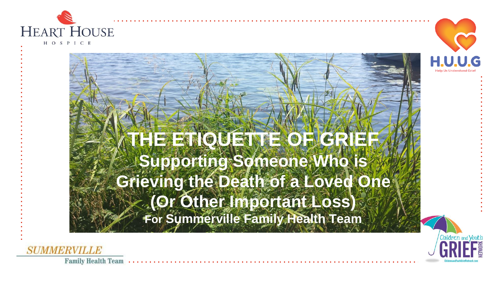

HOSPICE



**THE ETIQUETTE OF GRIEF Supporting Someone Who is Grieving the Death of a Loved One (Or Other Important Loss) For Summerville Family Health Team**



**SUMMERVILLE**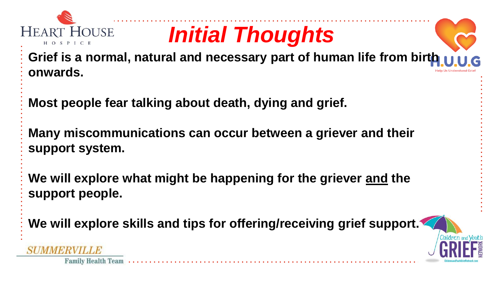

**Family Health Team** 

# *Initial Thoughts*

**Grief is a normal, natural and necessary part of human life from birth onwards.**

**Most people fear talking about death, dying and grief.**

**Many miscommunications can occur between a griever and their support system.**

**We will explore what might be happening for the griever and the support people.**

**We will explore skills and tips for offering/receiving grief support.**

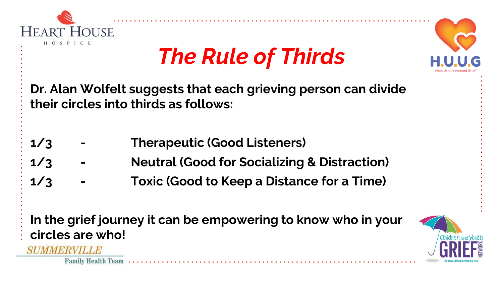

**SUMMERVILLE** 

**Family Health Team** 

# *The Rule of Thirds*

**Dr. Alan Wolfelt suggests that each grieving person can divide their circles into thirds as follows:**

- **1/3 - Therapeutic (Good Listeners)**
- **1/3 - Neutral (Good for Socializing & Distraction)**
- **1/3 - Toxic (Good to Keep a Distance for a Time)**

**In the grief journey it can be empowering to know who in your circles are who!**



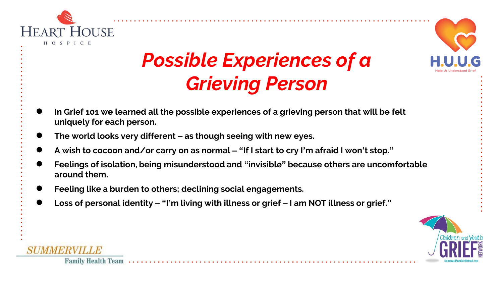

## *Possible Experiences of a Grieving Person*

- **In Grief 101 we learned all the possible experiences of a grieving person that will be felt uniquely for each person.**
- **The world looks very different – as though seeing with new eyes.**
- **A wish to cocoon and/or carry on as normal – "If I start to cry I'm afraid I won't stop."**
- **Feelings of isolation, being misunderstood and "invisible" because others are uncomfortable around them.**
- Feeling like a burden to others; declining social engagements.
- **Loss of personal identity – "I'm living with illness or grief – I am NOT illness or grief."**



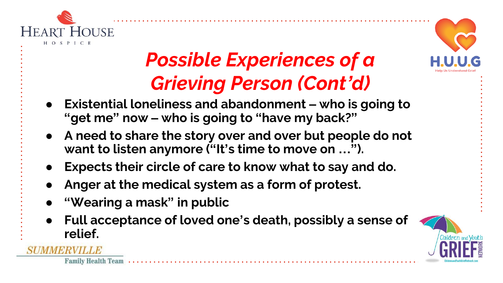

## *Possible Experiences of a Grieving Person (Cont'd)*



- **Existential loneliness and abandonment – who is going to "get me" now – who is going to "have my back?"**
- **A need to share the story over and over but people do not want to listen anymore ("It's time to move on …").**
- **Expects their circle of care to know what to say and do.**
- Anger at the medical system as a form of protest.
- **"Wearing a mask" in public**

**Family Health Team** 

● **Full acceptance of loved one's death, possibly a sense of relief.**

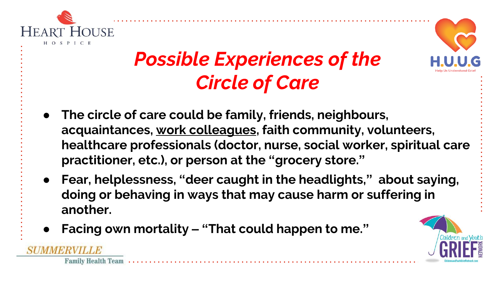

*MMBRVII LB* 

**Family Health Team** 



## *Possible Experiences of the Circle of Care*

- **The circle of care could be family, friends, neighbours, acquaintances, work colleagues, faith community, volunteers, healthcare professionals (doctor, nurse, social worker, spiritual care practitioner, etc.), or person at the "grocery store."**
- **Fear, helplessness, "deer caught in the headlights," about saying, doing or behaving in ways that may cause harm or suffering in another.**
- **Facing own mortality – "That could happen to me."**

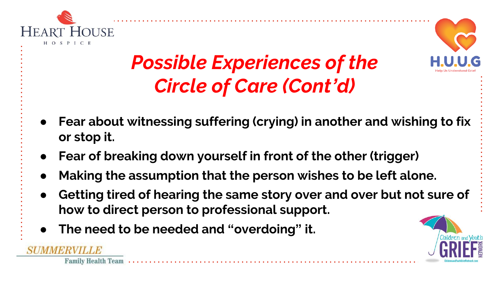

ERVILLE

**Family Health Team** 



## *Possible Experiences of the Circle of Care (Cont'd)*

- **Fear about witnessing suffering (crying) in another and wishing to fix or stop it.**
- **Fear of breaking down yourself in front of the other (trigger)**
- Making the assumption that the person wishes to be left alone.
- **Getting tired of hearing the same story over and over but not sure of how to direct person to professional support.**
- **The need to be needed and "overdoing" it.**

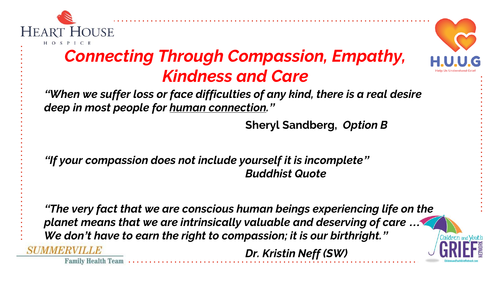

#### *Connecting Through Compassion, Empathy, Kindness and Care*

*"When we suffer loss or face difficulties of any kind, there is a real desire deep in most people for human connection."*

**Sheryl Sandberg,** *Option B*

*"If your compassion does not include yourself it is incomplete" Buddhist Quote*

*"The very fact that we are conscious human beings experiencing life on the planet means that we are intrinsically valuable and deserving of care … We don't have to earn the right to compassion; it is our birthright."* **SUMMERVILLE** *Dr. Kristin Neff (SW)*

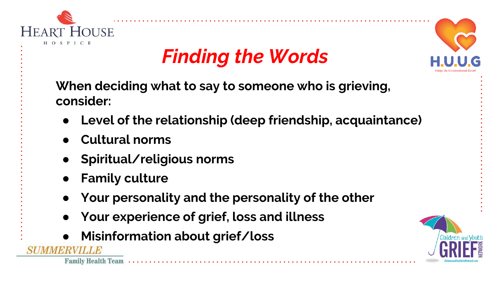

## *Finding the Words*



**When deciding what to say to someone who is grieving, consider:**

- Level of the relationship (deep friendship, acquaintance)
- **Cultural norms**
- **Spiritual/religious norms**
- **Family culture**
- Your personality and the personality of the other
- **Your experience of grief, loss and illness**
- **Misinformation about grief/loss**

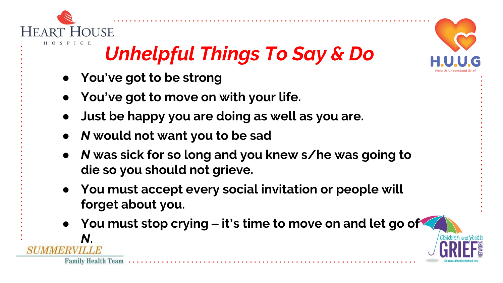

*N***.**

**Family Health Team** 

## *Unhelpful Things To Say & Do*

- **You've got to be strong**
- **You've got to move on with your life.**
- **Just be happy you are doing as well as you are.**
- *N* **would not want you to be sad**
- *N* **was sick for so long and you knew s/he was going to die so you should not grieve.**
- **You must accept every social invitation or people will forget about you.**
- **You must stop crying – it's time to move on and let go of**

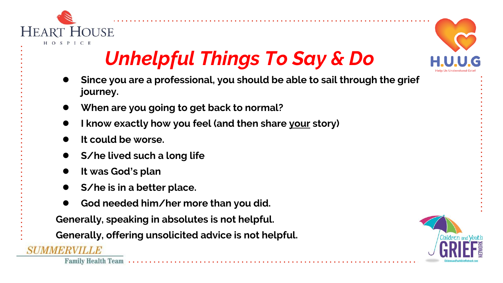

## *Unhelpful Things To Say & Do*

- **Since you are a professional, you should be able to sail through the grief journey.**
- **When are you going to get back to normal?**
- **I know exactly how you feel (and then share your story)**
- It could be worse.
- **S/he lived such a long life**
- **It was God's plan**
- **S/he is in a better place.**
- God needed him/her more than you did.

**Generally, speaking in absolutes is not helpful.**

**Generally, offering unsolicited advice is not helpful.**

**SUMMERVILLE** 



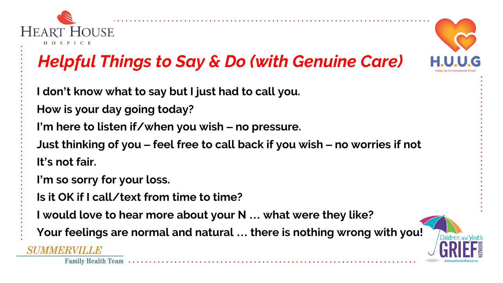

### *Helpful Things to Say & Do (with Genuine Care)*

- **I don't know what to say but I just had to call you.**
- **How is your day going today?**
- **I'm here to listen if/when you wish – no pressure.**
- **Just thinking of you – feel free to call back if you wish – no worries if not It's not fair.**
- **I'm so sorry for your loss.**
- **Is it OK if I call/text from time to time?**
- **I would love to hear more about your N … what were they like?**
- **Your feelings are normal and natural … there is nothing wrong with you!**

#### **SUMMERVILLE**



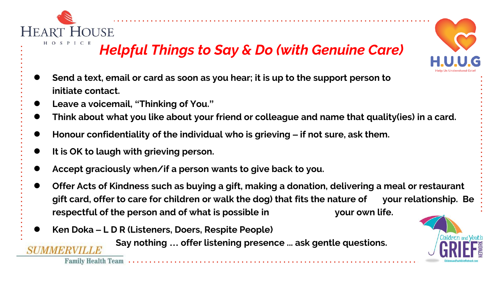

#### *Helpful Things to Say & Do (with Genuine Care)*

- Send a text, email or card as soon as you hear; it is up to the support person to **initiate contact.**
- **Leave a voicemail, "Thinking of You."**
- **Think about what you like about your friend or colleague and name that quality(ies) in a card.**
- **Honour confidentiality of the individual who is grieving – if not sure, ask them.**
- It is OK to laugh with grieving person.
- Accept graciously when/if a person wants to give back to you.
- **Offer Acts of Kindness such as buying a gift, making a donation, delivering a meal or restaurant gift card, offer to care for children or walk the dog) that fits the nature of your relationship. Be respectful of the person and of what is possible in your own life.**
- **Ken Doka – L D R (Listeners, Doers, Respite People)**
	- **Say nothing … offer listening presence ... ask gentle questions.**





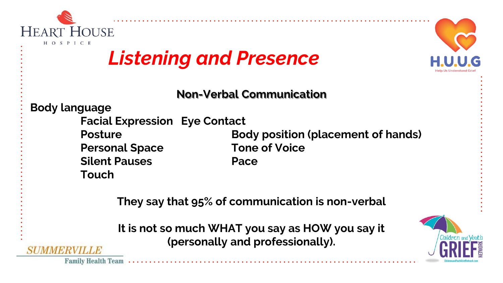



### *Listening and Presence*

**Non-Verbal Communication**

**Body language**

- **Facial Expression Eye Contact**
- 
- **Silent Pauses Pace**
- **Touch**

**Posture <b>Body position** (placement of hands) **Personal Space Tone of Voice**

**They say that 95% of communication is non-verbal**

**It is not so much WHAT you say as HOW you say it (personally and professionally).**



**Family Health Team** 

SI IMMBRYIT LA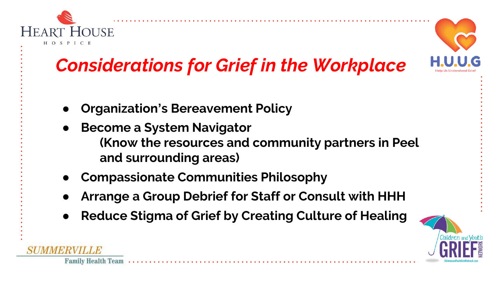



## *Considerations for Grief in the Workplace*

- **Organization's Bereavement Policy**
- **Become a System Navigator (Know the resources and community partners in Peel and surrounding areas)**
- **Compassionate Communities Philosophy**
- Arrange a Group Debrief for Staff or Consult with HHH
- **Reduce Stigma of Grief by Creating Culture of Healing**



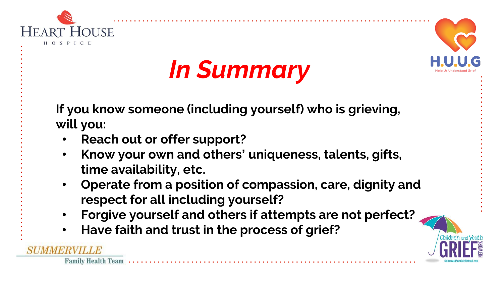





**If you know someone (including yourself) who is grieving, will you:**

- **Reach out or offer support?**
- **Know your own and others' uniqueness, talents, gifts, time availability, etc.**
- **Operate from a position of compassion, care, dignity and respect for all including yourself?**
- **Forgive yourself and others if attempts are not perfect?**
- **Have faith and trust in the process of grief?**



**Family Health Team** 

SIMMBRYICLE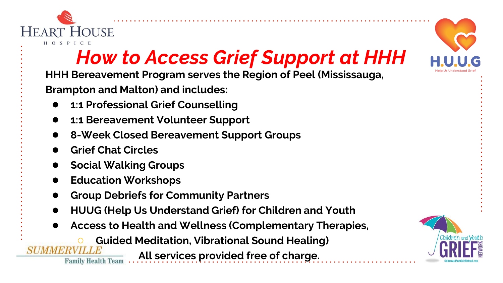

## *How to Access Grief Support at HHH*

**HHH Bereavement Program serves the Region of Peel (Mississauga,** 

**Brampton and Malton) and includes:**

- **1:1 Professional Grief Counselling**
- **1:1 Bereavement Volunteer Support**
- 8-Week Closed Bereavement Support Groups
- **Grief Chat Circles**

**Family Health Team** 

- **Social Walking Groups**
- **Education Workshops**
- **Group Debriefs for Community Partners**
- **HUUG (Help Us Understand Grief) for Children and Youth**
- **Access to Health and Wellness (Complementary Therapies,** 
	- **Guided Meditation, Vibrational Sound Healing)**

**All services provided free of charge.**



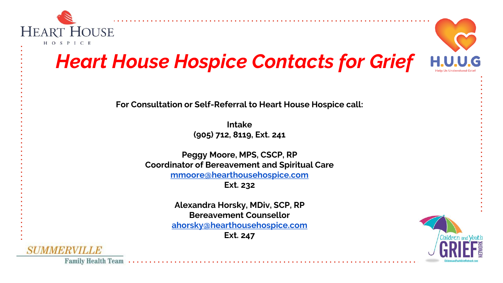

#### *Heart House Hospice Contacts for Grief*

**For Consultation or Self-Referral to Heart House Hospice call:**

**Intake (905) 712, 8119, Ext. 241**

**Peggy Moore, MPS, CSCP, RP Coordinator of Bereavement and Spiritual Care [mmoore@hearthousehospice.com](mailto:mmoore@hearthousehospice.com)**

**Ext. 232**

**Alexandra Horsky, MDiv, SCP, RP Bereavement Counsellor [ahorsky@hearthousehospice.com](mailto:ahorsky@hearthousehospice.com) Ext. 247**



SUMMERVILLE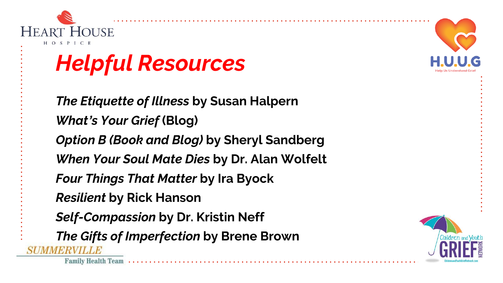

**Family Health Team** 

# *Helpful Resources*

*The Etiquette of Illness* **by Susan Halpern** *What's Your Grief* **(Blog)** *Option B (Book and Blog)* **by Sheryl Sandberg** *When Your Soul Mate Dies* **by Dr. Alan Wolfelt** *Four Things That Matter* **by Ira Byock** *Resilient* **by Rick Hanson** *Self-Compassion* **by Dr. Kristin Neff** *The Gifts of Imperfection* **by Brene Brown**SIMMBRYILLA